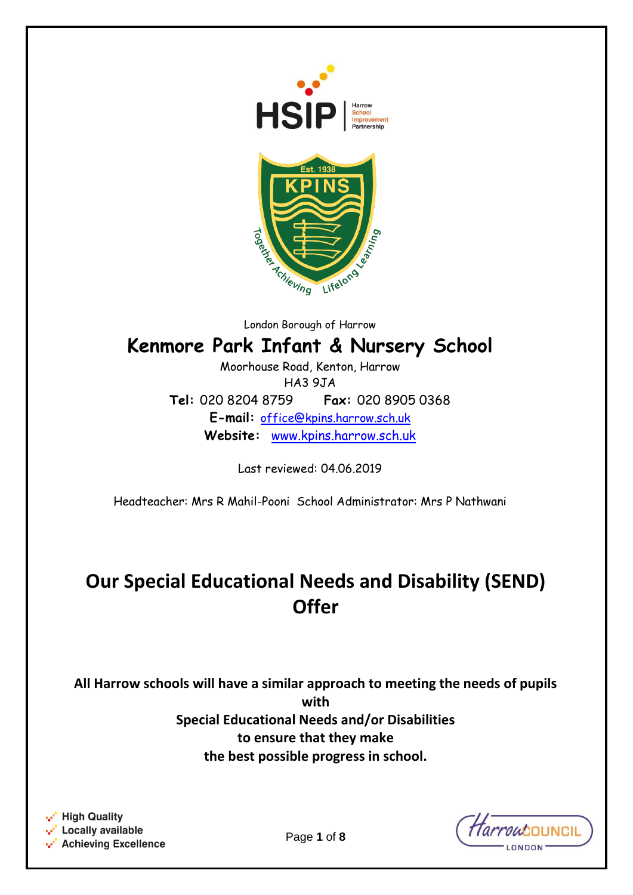



London Borough of Harrow

# **Kenmore Park Infant & Nursery School**

Moorhouse Road, Kenton, Harrow HA3 9JA **Tel:** 020 8204 8759 **Fax:** 020 8905 0368 **E-mail:** [office@kpins.harrow.sch.uk](mailto:office@kpins.harrow.sch.uk) **Website:** [www.kpins.harrow.sch.uk](http://www.kpins.harrow.sch.uk/)

Last reviewed: 04.06.2019

Headteacher: Mrs R Mahil-Pooni School Administrator: Mrs P Nathwani

# **Our Special Educational Needs and Disability (SEND) Offer**

**All Harrow schools will have a similar approach to meeting the needs of pupils with Special Educational Needs and/or Disabilities to ensure that they make the best possible progress in school.**

.. High Quality •• Locally available •• Achieving Excellence *Tarrout*OUNCII ONDON

Page **1** of **8**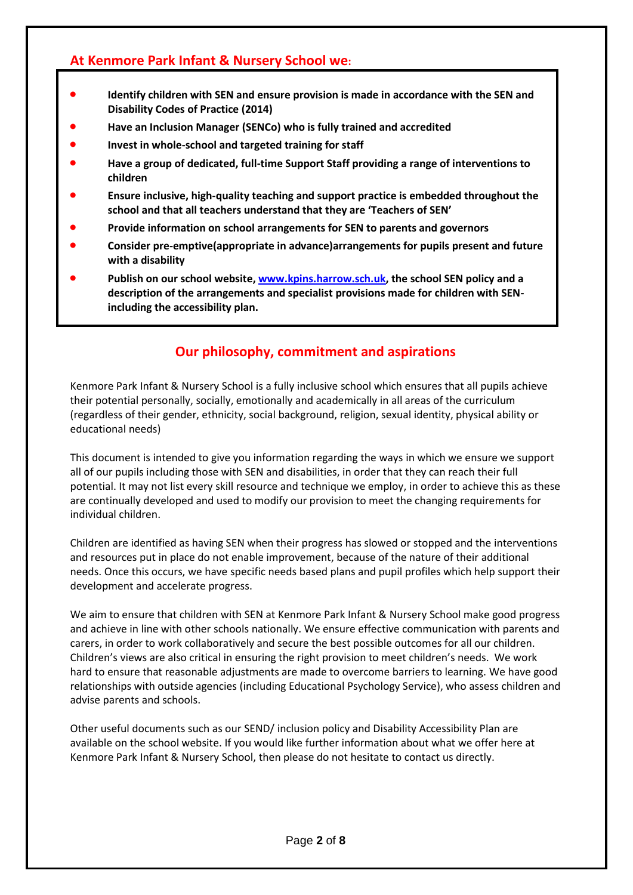# **At Kenmore Park Infant & Nursery School we:**

- **Identify children with SEN and ensure provision is made in accordance with the SEN and Disability Codes of Practice (2014)**
- **Have an Inclusion Manager (SENCo) who is fully trained and accredited**
- **Invest in whole-school and targeted training for staff**
- **Have a group of dedicated, full-time Support Staff providing a range of interventions to children**
- **Ensure inclusive, high-quality teaching and support practice is embedded throughout the school and that all teachers understand that they are 'Teachers of SEN'**
- **Provide information on school arrangements for SEN to parents and governors**
- **Consider pre-emptive(appropriate in advance)arrangements for pupils present and future with a disability**
- **Publish on our school website, [www.kpins.harrow.sch.uk,](http://www.kpins.harrow.sch.uk/) the school SEN policy and a description of the arrangements and specialist provisions made for children with SENincluding the accessibility plan.**

# **Our philosophy, commitment and aspirations**

Kenmore Park Infant & Nursery School is a fully inclusive school which ensures that all pupils achieve their potential personally, socially, emotionally and academically in all areas of the curriculum (regardless of their gender, ethnicity, social background, religion, sexual identity, physical ability or educational needs)

This document is intended to give you information regarding the ways in which we ensure we support all of our pupils including those with SEN and disabilities, in order that they can reach their full potential. It may not list every skill resource and technique we employ, in order to achieve this as these are continually developed and used to modify our provision to meet the changing requirements for individual children.

Children are identified as having SEN when their progress has slowed or stopped and the interventions and resources put in place do not enable improvement, because of the nature of their additional needs. Once this occurs, we have specific needs based plans and pupil profiles which help support their development and accelerate progress.

We aim to ensure that children with SEN at Kenmore Park Infant & Nursery School make good progress and achieve in line with other schools nationally. We ensure effective communication with parents and carers, in order to work collaboratively and secure the best possible outcomes for all our children. Children's views are also critical in ensuring the right provision to meet children's needs. We work hard to ensure that reasonable adjustments are made to overcome barriers to learning. We have good relationships with outside agencies (including Educational Psychology Service), who assess children and advise parents and schools.

Other useful documents such as our SEND/ inclusion policy and Disability Accessibility Plan are available on the school website. If you would like further information about what we offer here at Kenmore Park Infant & Nursery School, then please do not hesitate to contact us directly.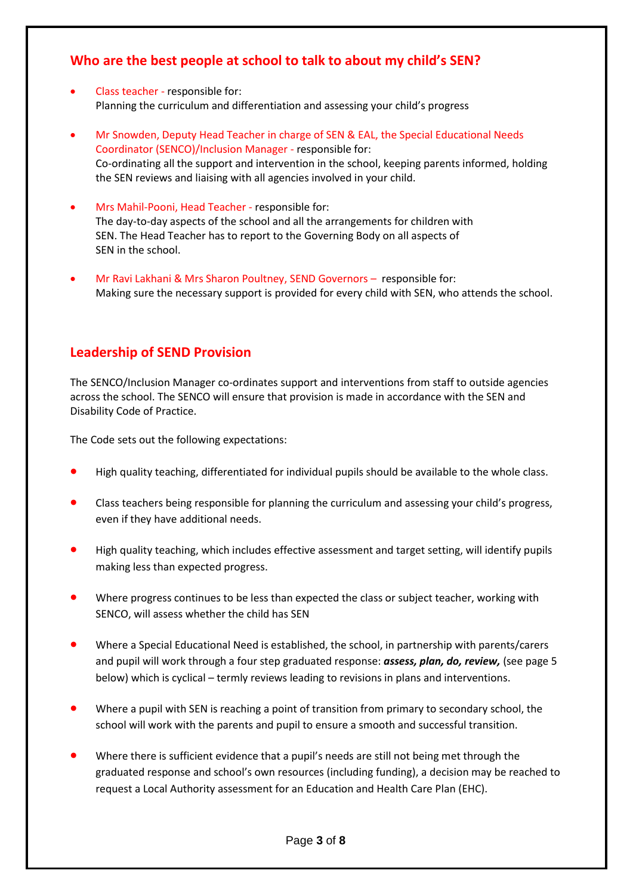# **Who are the best people at school to talk to about my child's SEN?**

- Class teacher responsible for: Planning the curriculum and differentiation and assessing your child's progress
- Mr Snowden, Deputy Head Teacher in charge of SEN & EAL, the Special Educational Needs Coordinator (SENCO)/Inclusion Manager - responsible for: Co-ordinating all the support and intervention in the school, keeping parents informed, holding the SEN reviews and liaising with all agencies involved in your child.
- Mrs Mahil-Pooni, Head Teacher responsible for: The day-to-day aspects of the school and all the arrangements for children with SEN. The Head Teacher has to report to the Governing Body on all aspects of SEN in the school.
- Mr Ravi Lakhani & Mrs Sharon Poultney, SEND Governors responsible for: Making sure the necessary support is provided for every child with SEN, who attends the school.

# **Leadership of SEND Provision**

The SENCO/Inclusion Manager co-ordinates support and interventions from staff to outside agencies across the school. The SENCO will ensure that provision is made in accordance with the SEN and Disability Code of Practice.

The Code sets out the following expectations:

- High quality teaching, differentiated for individual pupils should be available to the whole class.
- Class teachers being responsible for planning the curriculum and assessing your child's progress, even if they have additional needs.
- High quality teaching, which includes effective assessment and target setting, will identify pupils making less than expected progress.
- Where progress continues to be less than expected the class or subject teacher, working with SENCO, will assess whether the child has SEN
- Where a Special Educational Need is established, the school, in partnership with parents/carers and pupil will work through a four step graduated response: *assess, plan, do, review,* (see page 5 below) which is cyclical – termly reviews leading to revisions in plans and interventions.
- Where a pupil with SEN is reaching a point of transition from primary to secondary school, the school will work with the parents and pupil to ensure a smooth and successful transition.
- Where there is sufficient evidence that a pupil's needs are still not being met through the graduated response and school's own resources (including funding), a decision may be reached to request a Local Authority assessment for an Education and Health Care Plan (EHC).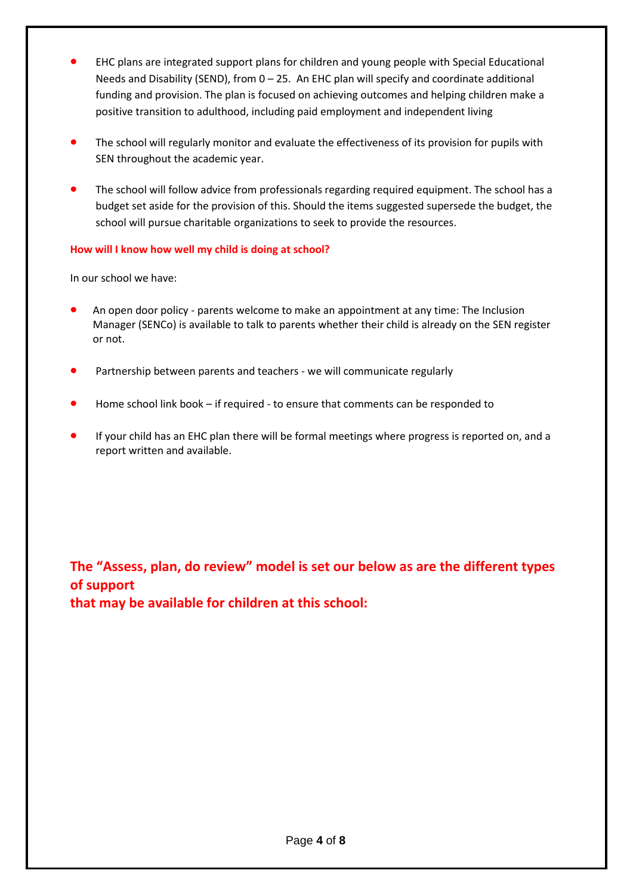- EHC plans are integrated support plans for children and young people with Special Educational Needs and Disability (SEND), from 0 – 25. An EHC plan will specify and coordinate additional funding and provision. The plan is focused on achieving outcomes and helping children make a positive transition to adulthood, including paid employment and independent living
- The school will regularly monitor and evaluate the effectiveness of its provision for pupils with SEN throughout the academic year.
- The school will follow advice from professionals regarding required equipment. The school has a budget set aside for the provision of this. Should the items suggested supersede the budget, the school will pursue charitable organizations to seek to provide the resources.

#### **How will I know how well my child is doing at school?**

In our school we have:

- An open door policy parents welcome to make an appointment at any time: The Inclusion Manager (SENCo) is available to talk to parents whether their child is already on the SEN register or not.
- Partnership between parents and teachers we will communicate regularly
- Home school link book if required to ensure that comments can be responded to
- If your child has an EHC plan there will be formal meetings where progress is reported on, and a report written and available.

**The "Assess, plan, do review" model is set our below as are the different types of support that may be available for children at this school:**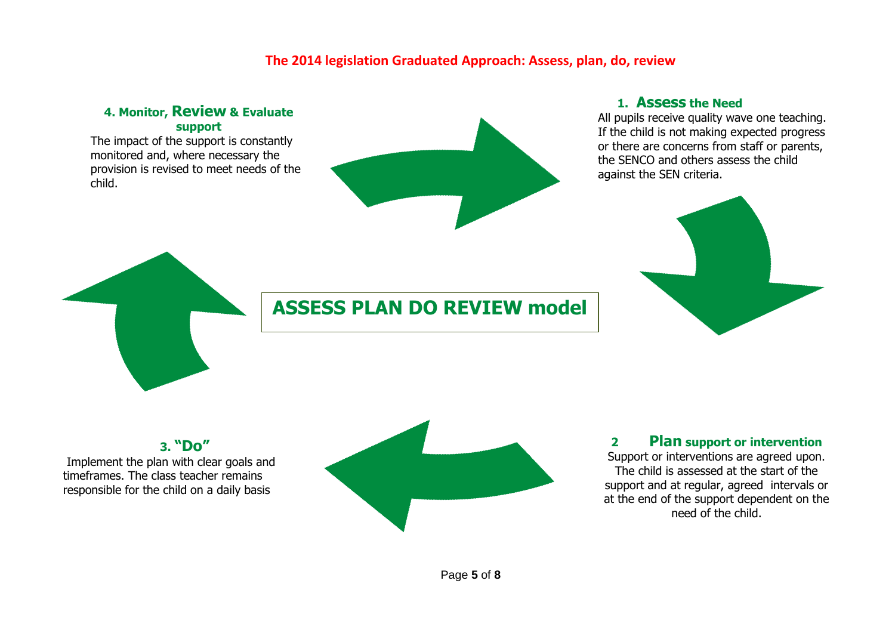## **The 2014 legislation Graduated Approach: Assess, plan, do, review**

#### **4. Monitor, Review & Evaluate support**

The impact of the support is constantly monitored and, where necessary the provision is revised to meet needs of the child.



#### **1. Assess the Need**

All pupils receive quality wave one teaching. If the child is not making expected progress or there are concerns from staff or parents, the SENCO and others assess the child against the SEN criteria.



# **ASSESS PLAN DO REVIEW model**

**3. "Do"** Implement the plan with clear goals and timeframes. The class teacher remains

responsible for the child on a daily basis



## **2 Plan support or intervention**

Support or interventions are agreed upon. The child is assessed at the start of the support and at regular, agreed intervals or at the end of the support dependent on the need of the child.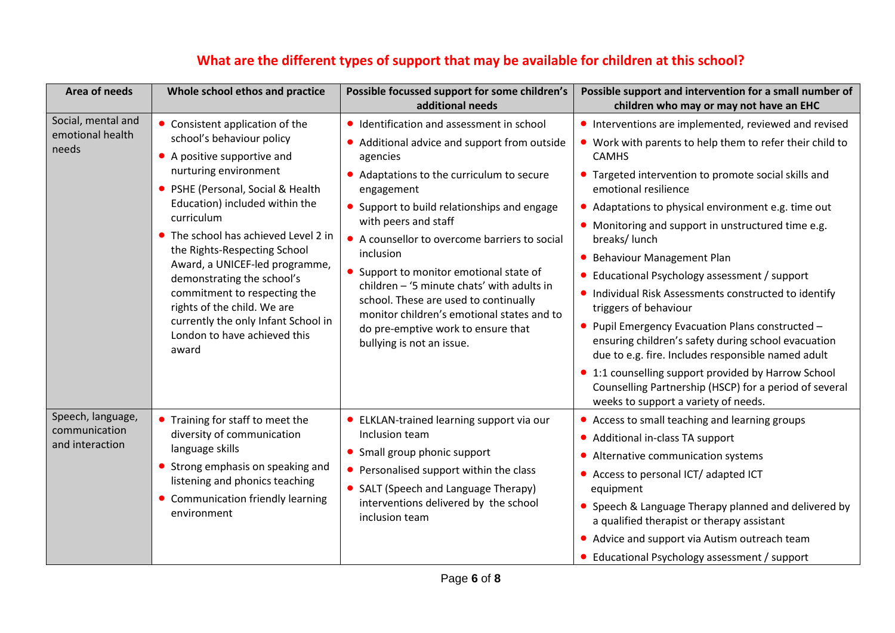| Area of needs                                         | Whole school ethos and practice                                                                                                                                                                                                                                                                                                                                                                                                                                                                             | Possible focussed support for some children's<br>additional needs                                                                                                                                                                                                                                                                                                                                                                                                                                                                                  | Possible support and intervention for a small number of<br>children who may or may not have an EHC                                                                                                                                                                                                                                                                                                                                                                                                                                                                                                                                                                                                                                                                                                                                       |
|-------------------------------------------------------|-------------------------------------------------------------------------------------------------------------------------------------------------------------------------------------------------------------------------------------------------------------------------------------------------------------------------------------------------------------------------------------------------------------------------------------------------------------------------------------------------------------|----------------------------------------------------------------------------------------------------------------------------------------------------------------------------------------------------------------------------------------------------------------------------------------------------------------------------------------------------------------------------------------------------------------------------------------------------------------------------------------------------------------------------------------------------|------------------------------------------------------------------------------------------------------------------------------------------------------------------------------------------------------------------------------------------------------------------------------------------------------------------------------------------------------------------------------------------------------------------------------------------------------------------------------------------------------------------------------------------------------------------------------------------------------------------------------------------------------------------------------------------------------------------------------------------------------------------------------------------------------------------------------------------|
| Social, mental and<br>emotional health<br>needs       | • Consistent application of the<br>school's behaviour policy<br>• A positive supportive and<br>nurturing environment<br>PSHE (Personal, Social & Health<br>$\bullet$<br>Education) included within the<br>curriculum<br>• The school has achieved Level 2 in<br>the Rights-Respecting School<br>Award, a UNICEF-led programme,<br>demonstrating the school's<br>commitment to respecting the<br>rights of the child. We are<br>currently the only Infant School in<br>London to have achieved this<br>award | • Identification and assessment in school<br>• Additional advice and support from outside<br>agencies<br>Adaptations to the curriculum to secure<br>engagement<br>Support to build relationships and engage<br>with peers and staff<br>• A counsellor to overcome barriers to social<br>inclusion<br>Support to monitor emotional state of<br>children - '5 minute chats' with adults in<br>school. These are used to continually<br>monitor children's emotional states and to<br>do pre-emptive work to ensure that<br>bullying is not an issue. | • Interventions are implemented, reviewed and revised<br>• Work with parents to help them to refer their child to<br><b>CAMHS</b><br>• Targeted intervention to promote social skills and<br>emotional resilience<br>• Adaptations to physical environment e.g. time out<br>• Monitoring and support in unstructured time e.g.<br>breaks/lunch<br>• Behaviour Management Plan<br>Educational Psychology assessment / support<br>• Individual Risk Assessments constructed to identify<br>triggers of behaviour<br>• Pupil Emergency Evacuation Plans constructed -<br>ensuring children's safety during school evacuation<br>due to e.g. fire. Includes responsible named adult<br>• 1:1 counselling support provided by Harrow School<br>Counselling Partnership (HSCP) for a period of several<br>weeks to support a variety of needs. |
| Speech, language,<br>communication<br>and interaction | Training for staff to meet the<br>diversity of communication<br>language skills<br>Strong emphasis on speaking and<br>$\bullet$<br>listening and phonics teaching<br>• Communication friendly learning<br>environment                                                                                                                                                                                                                                                                                       | • ELKLAN-trained learning support via our<br>Inclusion team<br>Small group phonic support<br>• Personalised support within the class<br>SALT (Speech and Language Therapy)<br>interventions delivered by the school<br>inclusion team                                                                                                                                                                                                                                                                                                              | • Access to small teaching and learning groups<br>• Additional in-class TA support<br>Alternative communication systems<br>• Access to personal ICT/ adapted ICT<br>equipment<br>• Speech & Language Therapy planned and delivered by<br>a qualified therapist or therapy assistant<br>• Advice and support via Autism outreach team<br>• Educational Psychology assessment / support                                                                                                                                                                                                                                                                                                                                                                                                                                                    |

# **What are the different types of support that may be available for children at this school?**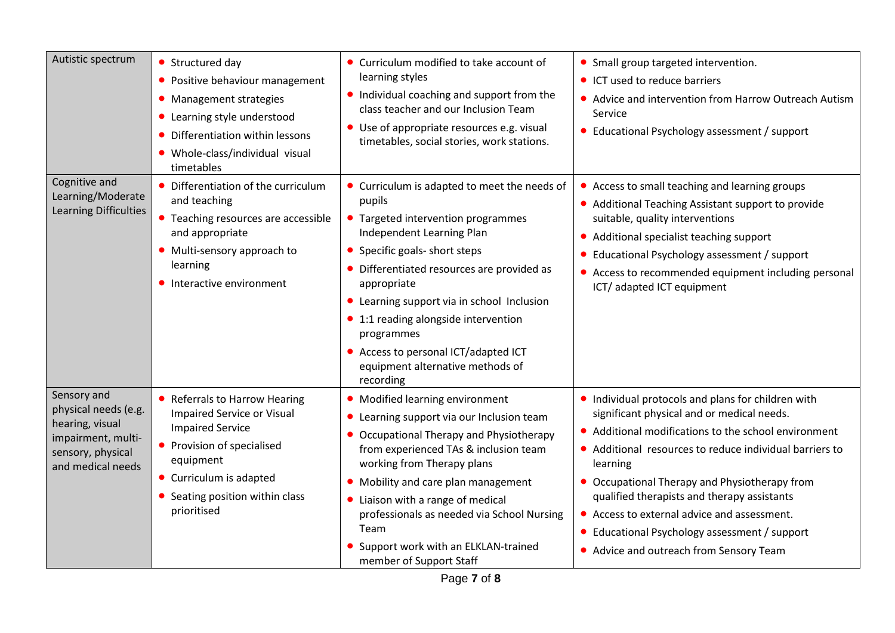| Autistic spectrum                                                                                                      | Structured day<br>• Positive behaviour management<br>• Management strategies<br>• Learning style understood<br>Differentiation within lessons<br>• Whole-class/individual visual<br>timetables                      | • Curriculum modified to take account of<br>learning styles<br>• Individual coaching and support from the<br>class teacher and our Inclusion Team<br>• Use of appropriate resources e.g. visual<br>timetables, social stories, work stations.                                                                                                                                                                             | • Small group targeted intervention.<br>• ICT used to reduce barriers<br>• Advice and intervention from Harrow Outreach Autism<br>Service<br>• Educational Psychology assessment / support                                                                                                                                                                                                                                                                               |
|------------------------------------------------------------------------------------------------------------------------|---------------------------------------------------------------------------------------------------------------------------------------------------------------------------------------------------------------------|---------------------------------------------------------------------------------------------------------------------------------------------------------------------------------------------------------------------------------------------------------------------------------------------------------------------------------------------------------------------------------------------------------------------------|--------------------------------------------------------------------------------------------------------------------------------------------------------------------------------------------------------------------------------------------------------------------------------------------------------------------------------------------------------------------------------------------------------------------------------------------------------------------------|
| Cognitive and<br>Learning/Moderate<br>Learning Difficulties                                                            | Differentiation of the curriculum<br>and teaching<br>• Teaching resources are accessible<br>and appropriate<br>• Multi-sensory approach to<br>learning<br>• Interactive environment                                 | • Curriculum is adapted to meet the needs of<br>pupils<br>• Targeted intervention programmes<br>Independent Learning Plan<br>Specific goals- short steps<br>Differentiated resources are provided as<br>appropriate<br>Learning support via in school Inclusion<br>$\bullet$<br>• 1:1 reading alongside intervention<br>programmes<br>Access to personal ICT/adapted ICT<br>equipment alternative methods of<br>recording | • Access to small teaching and learning groups<br>• Additional Teaching Assistant support to provide<br>suitable, quality interventions<br>Additional specialist teaching support<br>Educational Psychology assessment / support<br>Access to recommended equipment including personal<br>ICT/ adapted ICT equipment                                                                                                                                                     |
| Sensory and<br>physical needs (e.g.<br>hearing, visual<br>impairment, multi-<br>sensory, physical<br>and medical needs | • Referrals to Harrow Hearing<br><b>Impaired Service or Visual</b><br><b>Impaired Service</b><br>• Provision of specialised<br>equipment<br>• Curriculum is adapted<br>Seating position within class<br>prioritised | • Modified learning environment<br>Learning support via our Inclusion team<br>Occupational Therapy and Physiotherapy<br>from experienced TAs & inclusion team<br>working from Therapy plans<br>Mobility and care plan management<br>• Liaison with a range of medical<br>professionals as needed via School Nursing<br>Team<br>Support work with an ELKLAN-trained<br>member of Support Staff                             | • Individual protocols and plans for children with<br>significant physical and or medical needs.<br>• Additional modifications to the school environment<br>• Additional resources to reduce individual barriers to<br>learning<br>Occupational Therapy and Physiotherapy from<br>qualified therapists and therapy assistants<br>• Access to external advice and assessment.<br>• Educational Psychology assessment / support<br>• Advice and outreach from Sensory Team |